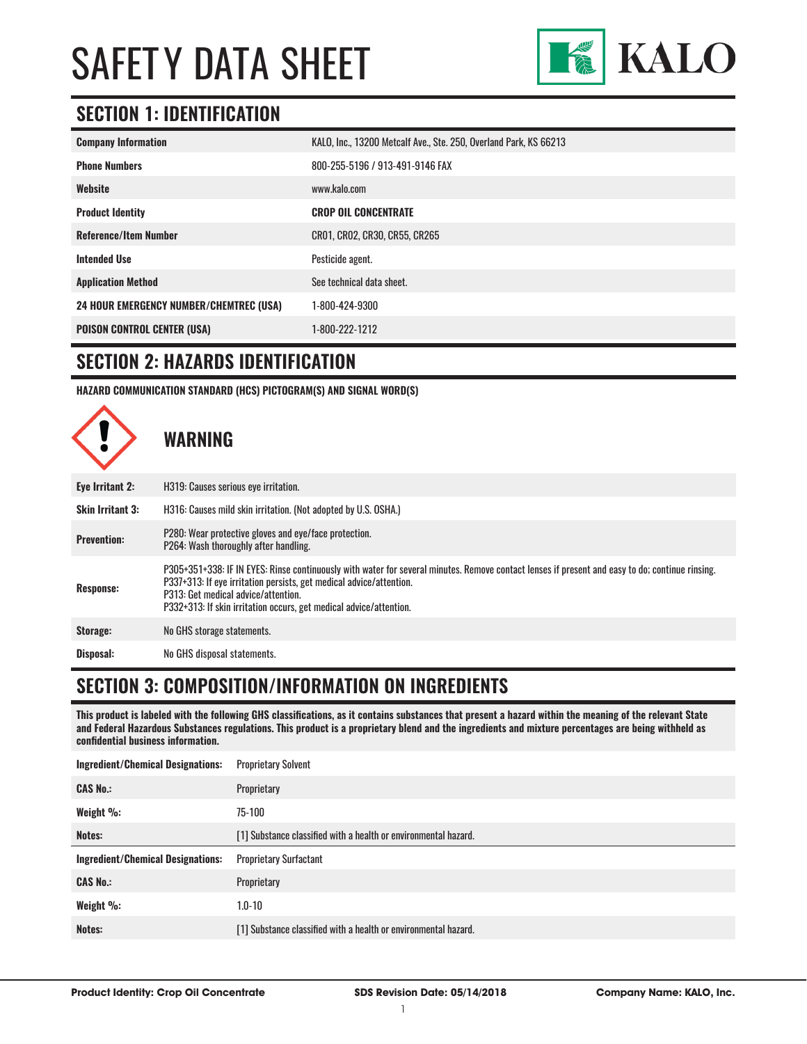

### **SECTION 1: IDENTIFICATION**

| <b>Company Information</b>                     | KALO, Inc., 13200 Metcalf Ave., Ste. 250, Overland Park, KS 66213 |
|------------------------------------------------|-------------------------------------------------------------------|
| <b>Phone Numbers</b>                           | 800-255-5196 / 913-491-9146 FAX                                   |
| Website                                        | www.kalo.com                                                      |
| <b>Product Identity</b>                        | <b>CROP OIL CONCENTRATE</b>                                       |
| <b>Reference/Item Number</b>                   | CR01, CR02, CR30, CR55, CR265                                     |
| <b>Intended Use</b>                            | Pesticide agent.                                                  |
| <b>Application Method</b>                      | See technical data sheet.                                         |
| <b>24 HOUR EMERGENCY NUMBER/CHEMTREC (USA)</b> | 1-800-424-9300                                                    |
| <b>POISON CONTROL CENTER (USA)</b>             | 1-800-222-1212                                                    |

#### **SECTION 2: HAZARDS IDENTIFICATION**

**HAZARD COMMUNICATION STANDARD (HCS) PICTOGRAM(S) AND SIGNAL WORD(S)**



#### **SECTION 3: COMPOSITION/INFORMATION ON INGREDIENTS**

**This product is labeled with the following GHS classifications, as it contains substances that present a hazard within the meaning of the relevant State and Federal Hazardous Substances regulations. This product is a proprietary blend and the ingredients and mixture percentages are being withheld as confidential business information.**

| <b>Proprietary Solvent</b>                                      |
|-----------------------------------------------------------------|
| Proprietary                                                     |
| 75-100                                                          |
| [1] Substance classified with a health or environmental hazard. |
| <b>Proprietary Surfactant</b>                                   |
| Proprietary                                                     |
| $1.0 - 10$                                                      |
| [1] Substance classified with a health or environmental hazard. |
|                                                                 |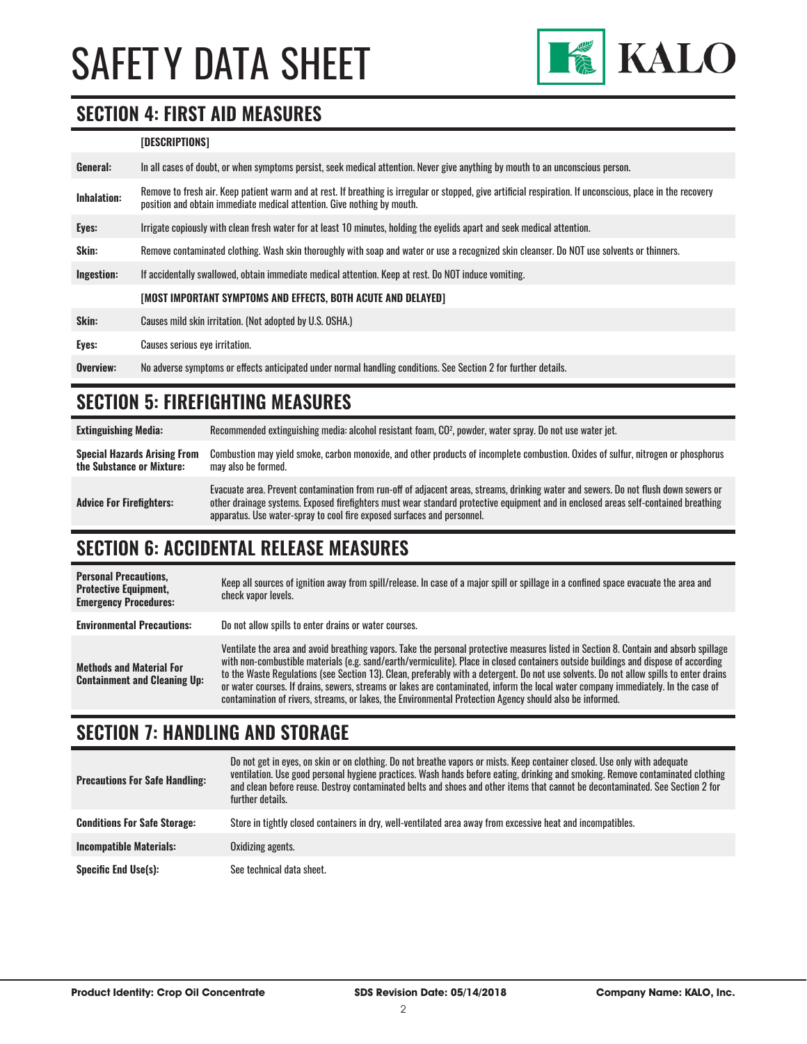

#### **SECTION 4: FIRST AID MEASURES**

#### **[DESCRIPTIONS]**

| General:           | In all cases of doubt, or when symptoms persist, seek medical attention. Never give anything by mouth to an unconscious person.                                                                                                         |
|--------------------|-----------------------------------------------------------------------------------------------------------------------------------------------------------------------------------------------------------------------------------------|
| <b>Inhalation:</b> | Remove to fresh air. Keep patient warm and at rest. If breathing is irregular or stopped, give artificial respiration. If unconscious, place in the recovery<br>position and obtain immediate medical attention. Give nothing by mouth. |
| Eyes:              | Irrigate copiously with clean fresh water for at least 10 minutes, holding the eyelids apart and seek medical attention.                                                                                                                |
| Skin:              | Remove contaminated clothing. Wash skin thoroughly with soap and water or use a recognized skin cleanser. Do NOT use solvents or thinners.                                                                                              |
| Ingestion:         | If accidentally swallowed, obtain immediate medical attention. Keep at rest. Do NOT induce vomiting.                                                                                                                                    |
|                    | [MOST IMPORTANT SYMPTOMS AND EFFECTS, BOTH ACUTE AND DELAYED]                                                                                                                                                                           |
| Skin:              | Causes mild skin irritation. (Not adopted by U.S. OSHA.)                                                                                                                                                                                |
| Eyes:              | Causes serious eye irritation.                                                                                                                                                                                                          |
| Overview:          | No adverse symptoms or effects anticipated under normal handling conditions. See Section 2 for further details.                                                                                                                         |

#### **SECTION 5: FIREFIGHTING MEASURES**

**Extinguishing Media:** Recommended extinguishing media: alcohol resistant foam, CO2 , powder, water spray. Do not use water jet. **Special Hazards Arising From the Substance or Mixture:** Combustion may yield smoke, carbon monoxide, and other products of incomplete combustion. Oxides of sulfur, nitrogen or phosphorus may also be formed. **Advice For Firefighters:** Evacuate area. Prevent contamination from run-off of adjacent areas, streams, drinking water and sewers. Do not flush down sewers or other drainage systems. Exposed firefighters must wear standard protective equipment and in enclosed areas self-contained breathing apparatus. Use water-spray to cool fire exposed surfaces and personnel.

### **SECTION 6: ACCIDENTAL RELEASE MEASURES**

| <b>Personal Precautions.</b><br><b>Protective Equipment,</b><br><b>Emergency Procedures:</b> | Keep all sources of ignition away from spill/release. In case of a major spill or spillage in a confined space evacuate the area and<br>check vapor levels.                                                                                                                                                                                                                                                                                                                                                                                                                                                                                                               |
|----------------------------------------------------------------------------------------------|---------------------------------------------------------------------------------------------------------------------------------------------------------------------------------------------------------------------------------------------------------------------------------------------------------------------------------------------------------------------------------------------------------------------------------------------------------------------------------------------------------------------------------------------------------------------------------------------------------------------------------------------------------------------------|
| <b>Environmental Precautions:</b>                                                            | Do not allow spills to enter drains or water courses.                                                                                                                                                                                                                                                                                                                                                                                                                                                                                                                                                                                                                     |
| <b>Methods and Material For</b><br><b>Containment and Cleaning Up:</b>                       | Ventilate the area and avoid breathing vapors. Take the personal protective measures listed in Section 8. Contain and absorb spillage<br>with non-combustible materials (e.g. sand/earth/vermiculite). Place in closed containers outside buildings and dispose of according<br>to the Waste Regulations (see Section 13). Clean, preferably with a detergent. Do not use solvents. Do not allow spills to enter drains<br>or water courses. If drains, sewers, streams or lakes are contaminated, inform the local water company immediately. In the case of<br>contamination of rivers, streams, or lakes, the Environmental Protection Agency should also be informed. |

### **SECTION 7: HANDLING AND STORAGE**

| <b>Precautions For Safe Handling:</b> | Do not get in eyes, on skin or on clothing. Do not breathe vapors or mists. Keep container closed. Use only with adequate<br>ventilation. Use good personal hygiene practices. Wash hands before eating, drinking and smoking. Remove contaminated clothing<br>and clean before reuse. Destroy contaminated belts and shoes and other items that cannot be decontaminated. See Section 2 for<br>further details. |
|---------------------------------------|------------------------------------------------------------------------------------------------------------------------------------------------------------------------------------------------------------------------------------------------------------------------------------------------------------------------------------------------------------------------------------------------------------------|
| <b>Conditions For Safe Storage:</b>   | Store in tightly closed containers in dry, well-ventilated area away from excessive heat and incompatibles.                                                                                                                                                                                                                                                                                                      |
| <b>Incompatible Materials:</b>        | Oxidizing agents.                                                                                                                                                                                                                                                                                                                                                                                                |
| <b>Specific End Use(s):</b>           | See technical data sheet.                                                                                                                                                                                                                                                                                                                                                                                        |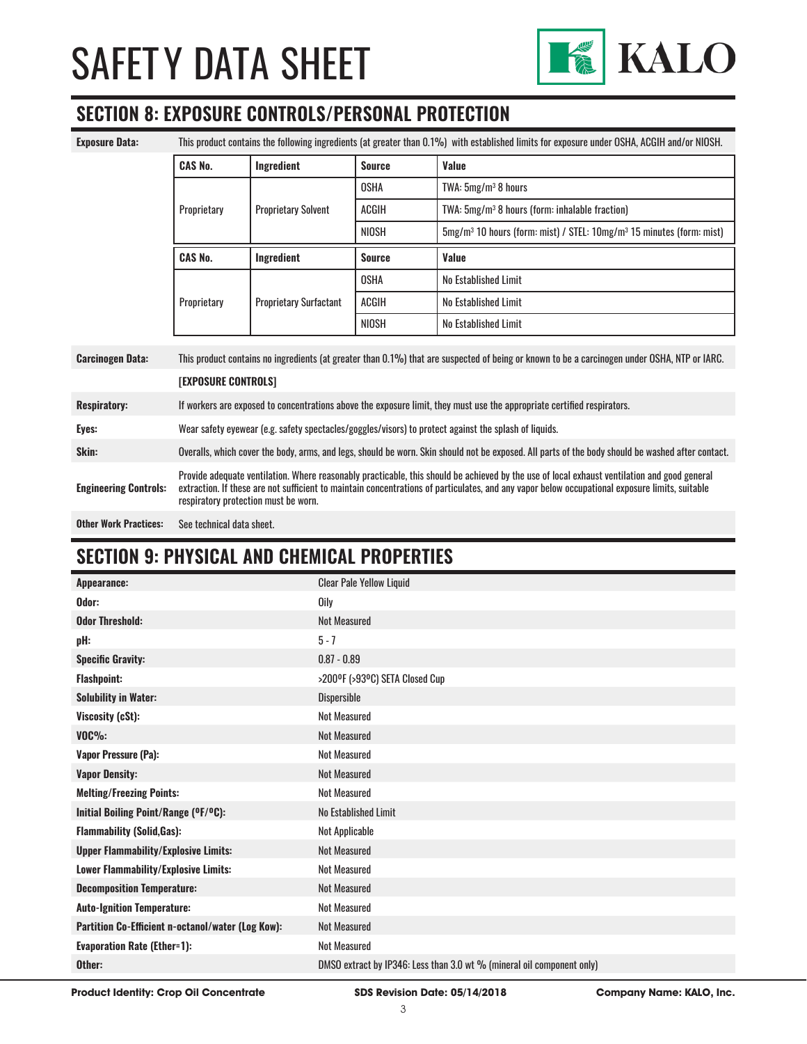

### **SECTION 8: EXPOSURE CONTROLS/PERSONAL PROTECTION**

| <b>Exposure Data:</b>        | This product contains the following ingredients (at greater than 0.1%) with established limits for exposure under OSHA, ACGIH and/or NIOSH.                                                                                                                                                                                            |                               |               |                                                                                              |
|------------------------------|----------------------------------------------------------------------------------------------------------------------------------------------------------------------------------------------------------------------------------------------------------------------------------------------------------------------------------------|-------------------------------|---------------|----------------------------------------------------------------------------------------------|
|                              | <b>CAS No.</b>                                                                                                                                                                                                                                                                                                                         | Ingredient                    | <b>Source</b> | Value                                                                                        |
|                              |                                                                                                                                                                                                                                                                                                                                        | <b>Proprietary Solvent</b>    | <b>OSHA</b>   | TWA: $5mg/m^3$ 8 hours                                                                       |
|                              | Proprietary                                                                                                                                                                                                                                                                                                                            |                               | <b>ACGIH</b>  | TWA: 5mg/m <sup>3</sup> 8 hours (form: inhalable fraction)                                   |
|                              |                                                                                                                                                                                                                                                                                                                                        |                               | NIOSH         | 5mg/m <sup>3</sup> 10 hours (form: mist) / STEL: 10mg/m <sup>3</sup> 15 minutes (form: mist) |
|                              | <b>CAS No.</b>                                                                                                                                                                                                                                                                                                                         | Ingredient                    | <b>Source</b> | <b>Value</b>                                                                                 |
|                              |                                                                                                                                                                                                                                                                                                                                        | <b>Proprietary Surfactant</b> | <b>OSHA</b>   | No Established Limit                                                                         |
|                              | Proprietary                                                                                                                                                                                                                                                                                                                            |                               | ACGIH         | No Established Limit                                                                         |
|                              |                                                                                                                                                                                                                                                                                                                                        |                               | NIOSH         | No Established Limit                                                                         |
| <b>Carcinogen Data:</b>      | This product contains no ingredients (at greater than 0.1%) that are suspected of being or known to be a carcinogen under OSHA, NTP or IARC.                                                                                                                                                                                           |                               |               |                                                                                              |
|                              | [EXPOSURE CONTROLS]                                                                                                                                                                                                                                                                                                                    |                               |               |                                                                                              |
| <b>Respiratory:</b>          | If workers are exposed to concentrations above the exposure limit, they must use the appropriate certified respirators.                                                                                                                                                                                                                |                               |               |                                                                                              |
| Eyes:                        | Wear safety eyewear (e.g. safety spectacles/goggles/visors) to protect against the splash of liquids.                                                                                                                                                                                                                                  |                               |               |                                                                                              |
| Skin:                        | Overalls, which cover the body, arms, and legs, should be worn. Skin should not be exposed. All parts of the body should be washed after contact.                                                                                                                                                                                      |                               |               |                                                                                              |
| <b>Engineering Controls:</b> | Provide adequate ventilation. Where reasonably practicable, this should be achieved by the use of local exhaust ventilation and good general<br>extraction. If these are not sufficient to maintain concentrations of particulates, and any vapor below occupational exposure limits, suitable<br>respiratory protection must be worn. |                               |               |                                                                                              |
| <b>Other Work Practices:</b> | See technical data sheet.                                                                                                                                                                                                                                                                                                              |                               |               |                                                                                              |

#### **SECTION 9: PHYSICAL AND CHEMICAL PROPERTIES**

| Appearance:                                       | <b>Clear Pale Yellow Liquid</b>                                        |
|---------------------------------------------------|------------------------------------------------------------------------|
| Odor:                                             | <b>Oily</b>                                                            |
| <b>Odor Threshold:</b>                            | <b>Not Measured</b>                                                    |
| pH:                                               | $5 - 7$                                                                |
| <b>Specific Gravity:</b>                          | $0.87 - 0.89$                                                          |
| <b>Flashpoint:</b>                                | >200°F (>93°C) SETA Closed Cup                                         |
| <b>Solubility in Water:</b>                       | <b>Dispersible</b>                                                     |
| Viscosity (cSt):                                  | <b>Not Measured</b>                                                    |
| $VOC\%$ :                                         | Not Measured                                                           |
| Vapor Pressure (Pa):                              | <b>Not Measured</b>                                                    |
| <b>Vapor Density:</b>                             | Not Measured                                                           |
| <b>Melting/Freezing Points:</b>                   | <b>Not Measured</b>                                                    |
| Initial Boiling Point/Range (OF/OC):              | No Established Limit                                                   |
| <b>Flammability (Solid, Gas):</b>                 | Not Applicable                                                         |
| <b>Upper Flammability/Explosive Limits:</b>       | <b>Not Measured</b>                                                    |
| Lower Flammability/Explosive Limits:              | <b>Not Measured</b>                                                    |
| <b>Decomposition Temperature:</b>                 | <b>Not Measured</b>                                                    |
| <b>Auto-Ignition Temperature:</b>                 | <b>Not Measured</b>                                                    |
| Partition Co-Efficient n-octanol/water (Log Kow): | <b>Not Measured</b>                                                    |
| <b>Evaporation Rate (Ether=1):</b>                | Not Measured                                                           |
| Other:                                            | DMSO extract by IP346: Less than 3.0 wt % (mineral oil component only) |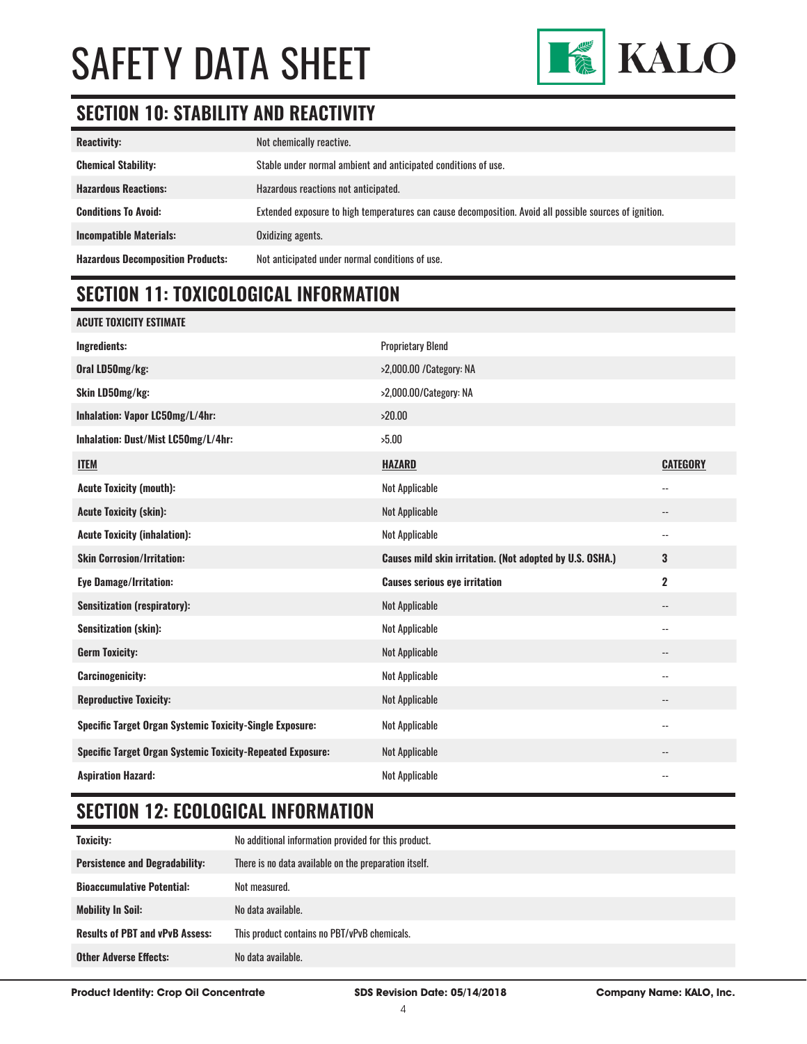

# **SECTION 10: STABILITY AND REACTIVITY**

| <b>Reactivity:</b>                       | Not chemically reactive.                                                                                |
|------------------------------------------|---------------------------------------------------------------------------------------------------------|
| <b>Chemical Stability:</b>               | Stable under normal ambient and anticipated conditions of use.                                          |
| <b>Hazardous Reactions:</b>              | Hazardous reactions not anticipated.                                                                    |
| <b>Conditions To Avoid:</b>              | Extended exposure to high temperatures can cause decomposition. Avoid all possible sources of ignition. |
| <b>Incompatible Materials:</b>           | Oxidizing agents.                                                                                       |
| <b>Hazardous Decomposition Products:</b> | Not anticipated under normal conditions of use.                                                         |

# **SECTION 11: TOXICOLOGICAL INFORMATION**

| ACUTE TOXICITY ESTIMATE                                           |                                                          |                          |
|-------------------------------------------------------------------|----------------------------------------------------------|--------------------------|
| <b>Ingredients:</b>                                               | <b>Proprietary Blend</b>                                 |                          |
| Oral LD50mg/kg:                                                   | >2,000.00 / Category: NA                                 |                          |
| Skin LD50mg/kg:                                                   | >2,000.00/Category: NA                                   |                          |
| Inhalation: Vapor LC50mg/L/4hr:                                   | >20.00                                                   |                          |
| Inhalation: Dust/Mist LC50mg/L/4hr:                               | >5.00                                                    |                          |
| <b>ITEM</b>                                                       | <b>HAZARD</b>                                            | <b>CATEGORY</b>          |
| <b>Acute Toxicity (mouth):</b>                                    | <b>Not Applicable</b>                                    | $\overline{\phantom{a}}$ |
| <b>Acute Toxicity (skin):</b>                                     | Not Applicable                                           | --                       |
| <b>Acute Toxicity (inhalation):</b>                               | Not Applicable                                           | --                       |
| <b>Skin Corrosion/Irritation:</b>                                 | Causes mild skin irritation. (Not adopted by U.S. OSHA.) | 3                        |
| <b>Eye Damage/Irritation:</b>                                     | <b>Causes serious eye irritation</b>                     | $\overline{\mathbf{2}}$  |
| <b>Sensitization (respiratory):</b>                               | <b>Not Applicable</b>                                    | --                       |
| <b>Sensitization (skin):</b>                                      | Not Applicable                                           | $\overline{\phantom{a}}$ |
| <b>Germ Toxicity:</b>                                             | Not Applicable                                           | --                       |
| <b>Carcinogenicity:</b>                                           | Not Applicable                                           | --                       |
| <b>Reproductive Toxicity:</b>                                     | Not Applicable                                           | --                       |
| <b>Specific Target Organ Systemic Toxicity-Single Exposure:</b>   | Not Applicable                                           | --                       |
| <b>Specific Target Organ Systemic Toxicity-Repeated Exposure:</b> | Not Applicable                                           | --                       |
| <b>Aspiration Hazard:</b>                                         | Not Applicable                                           | --                       |

# **SECTION 12: ECOLOGICAL INFORMATION**

| Toxicity:                                           | No additional information provided for this product.  |
|-----------------------------------------------------|-------------------------------------------------------|
| <b>Persistence and Degradability:</b>               | There is no data available on the preparation itself. |
| <b>Bioaccumulative Potential:</b><br>Not measured.  |                                                       |
| No data available.<br><b>Mobility In Soil:</b>      |                                                       |
| <b>Results of PBT and vPvB Assess:</b>              | This product contains no PBT/vPvB chemicals.          |
| No data available.<br><b>Other Adverse Effects:</b> |                                                       |